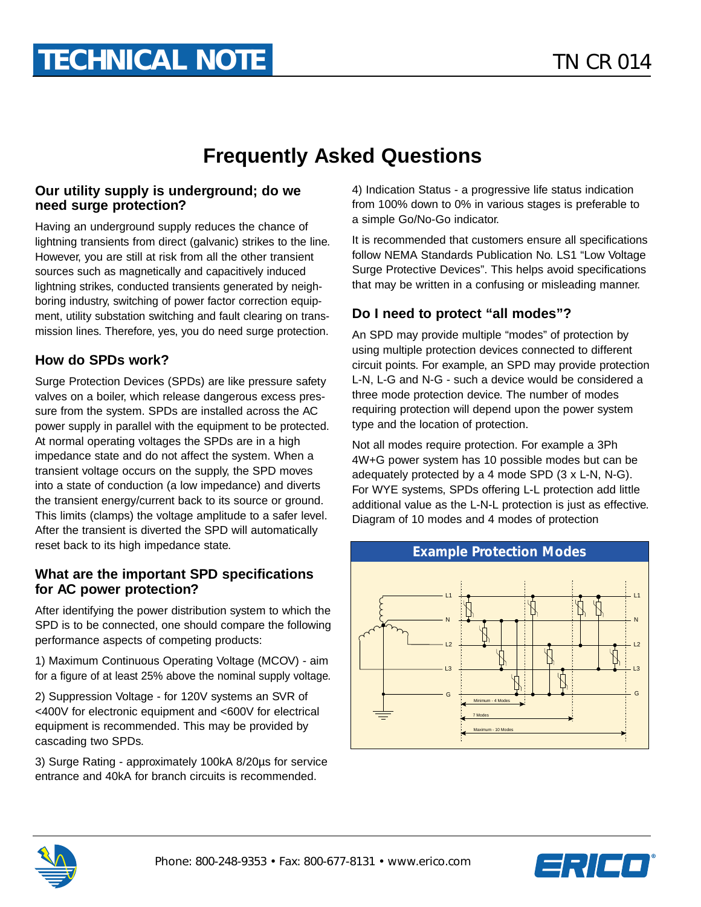# **Frequently Asked Questions**

#### **Our utility supply is underground; do we need surge protection?**

Having an underground supply reduces the chance of lightning transients from direct (galvanic) strikes to the line. However, you are still at risk from all the other transient sources such as magnetically and capacitively induced lightning strikes, conducted transients generated by neighboring industry, switching of power factor correction equipment, utility substation switching and fault clearing on transmission lines. Therefore, yes, you do need surge protection.

### **How do SPDs work?**

Surge Protection Devices (SPDs) are like pressure safety valves on a boiler, which release dangerous excess pressure from the system. SPDs are installed across the AC power supply in parallel with the equipment to be protected. At normal operating voltages the SPDs are in a high impedance state and do not affect the system. When a transient voltage occurs on the supply, the SPD moves into a state of conduction (a low impedance) and diverts the transient energy/current back to its source or ground. This limits (clamps) the voltage amplitude to a safer level. After the transient is diverted the SPD will automatically reset back to its high impedance state.

#### **What are the important SPD specifications for AC power protection?**

After identifying the power distribution system to which the SPD is to be connected, one should compare the following performance aspects of competing products:

1) Maximum Continuous Operating Voltage (MCOV) - aim for a figure of at least 25% above the nominal supply voltage.

2) Suppression Voltage - for 120V systems an SVR of <400V for electronic equipment and <600V for electrical equipment is recommended. This may be provided by cascading two SPDs.

3) Surge Rating - approximately 100kA 8/20µs for service entrance and 40kA for branch circuits is recommended.

4) Indication Status - a progressive life status indication from 100% down to 0% in various stages is preferable to a simple Go/No-Go indicator.

It is recommended that customers ensure all specifications follow NEMA Standards Publication No. LS1 "Low Voltage Surge Protective Devices". This helps avoid specifications that may be written in a confusing or misleading manner.

## **Do I need to protect "all modes"?**

An SPD may provide multiple "modes" of protection by using multiple protection devices connected to different circuit points. For example, an SPD may provide protection L-N, L-G and N-G - such a device would be considered a three mode protection device. The number of modes requiring protection will depend upon the power system type and the location of protection.

Not all modes require protection. For example a 3Ph 4W+G power system has 10 possible modes but can be adequately protected by a 4 mode SPD (3 x L-N, N-G). For WYE systems, SPDs offering L-L protection add little additional value as the L-N-L protection is just as effective. Diagram of 10 modes and 4 modes of protection